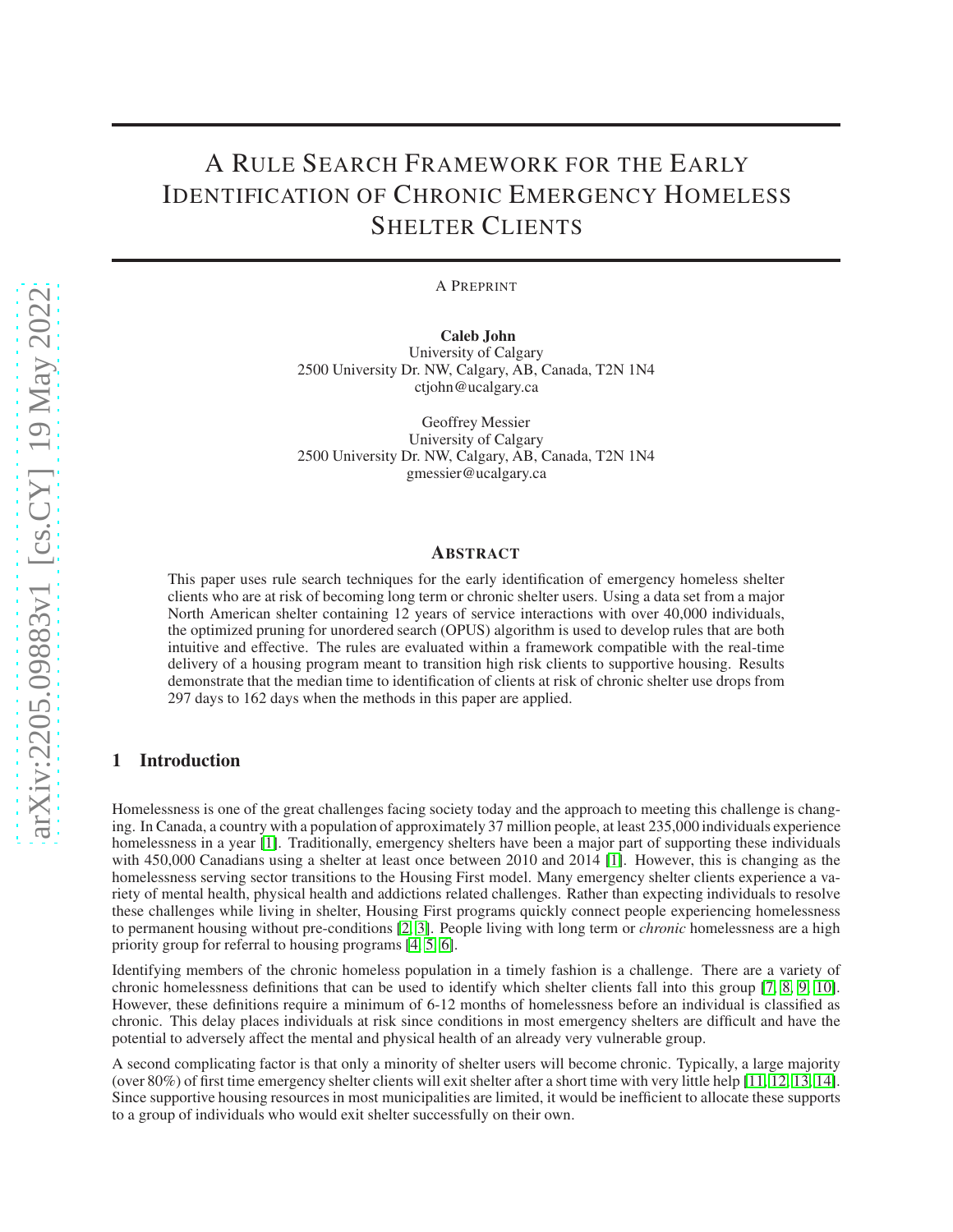# A RULE SEARCH FRAMEWORK FOR THE EARLY IDENTIFICATION OF CHRONIC EMERGENCY HOMELESS SHELTER CLIENTS

A PREPRINT

Caleb John University of Calgary 2500 University Dr. NW, Calgary, AB, Canada, T2N 1N4 ctjohn@ucalgary.ca

Geoffrey Messier University of Calgary 2500 University Dr. NW, Calgary, AB, Canada, T2N 1N4 gmessier@ucalgary.ca

#### ABSTRACT

This paper uses rule search techniques for the early identification of emergency homeless shelter clients who are at risk of becoming long term or chronic shelter users. Using a data set from a major North American shelter containing 12 years of service interactions with over 40,000 individuals, the optimized pruning for unordered search (OPUS) algorithm is used to develop rules that are both intuitive and effective. The rules are evaluated within a framework compatible with the real-time delivery of a housing program meant to transition high risk clients to supportive housing. Results demonstrate that the median time to identification of clients at risk of chronic shelter use drops from 297 days to 162 days when the methods in this paper are applied.

## <span id="page-0-0"></span>1 Introduction

Homelessness is one of the great challenges facing society today and the approach to meeting this challenge is changing. In Canada, a country with a population of approximately 37 million people, at least 235,000 individuals experience homelessness in a year [\[1\]](#page-8-0). Traditionally, emergency shelters have been a major part of supporting these individuals with 450,000 Canadians using a shelter at least once between 2010 and 2014 [\[1\]](#page-8-0). However, this is changing as the homelessness serving sector transitions to the Housing First model. Many emergency shelter clients experience a variety of mental health, physical health and addictions related challenges. Rather than expecting individuals to resolve these challenges while living in shelter, Housing First programs quickly connect people experiencing homelessness to permanent housing without pre-conditions [\[2,](#page-8-1) [3\]](#page-8-2). People living with long term or *chronic* homelessness are a high priority group for referral to housing programs [\[4,](#page-8-3) [5,](#page-8-4) [6\]](#page-8-5).

Identifying members of the chronic homeless population in a timely fashion is a challenge. There are a variety of chronic homelessness definitions that can be used to identify which shelter clients fall into this group [\[7,](#page-8-6) [8,](#page-8-7) [9,](#page-8-8) [10\]](#page-8-9). However, these definitions require a minimum of 6-12 months of homelessness before an individual is classified as chronic. This delay places individuals at risk since conditions in most emergency shelters are difficult and have the potential to adversely affect the mental and physical health of an already very vulnerable group.

A second complicating factor is that only a minority of shelter users will become chronic. Typically, a large majority (over 80%) of first time emergency shelter clients will exit shelter after a short time with very little help [\[11,](#page-8-10) [12,](#page-8-11) [13,](#page-8-12) [14\]](#page-8-13). Since supportive housing resources in most municipalities are limited, it would be inefficient to allocate these supports to a group of individuals who would exit shelter successfully on their own.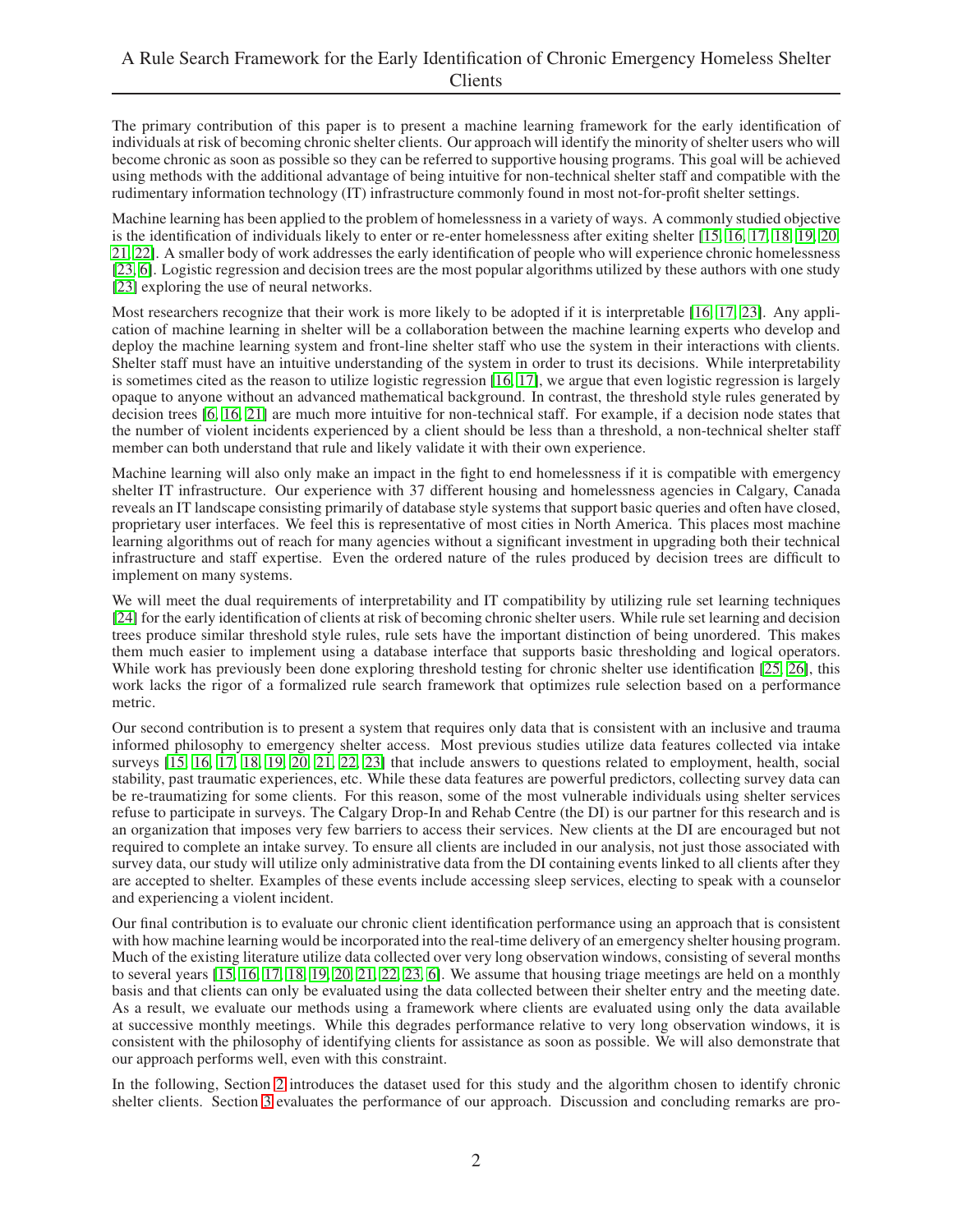The primary contribution of this paper is to present a machine learning framework for the early identification of individuals at risk of becoming chronic shelter clients. Our approach will identify the minority of shelter users who will become chronic as soon as possible so they can be referred to supportive housing programs. This goal will be achieved using methods with the additional advantage of being intuitive for non-technical shelter staff and compatible with the rudimentary information technology (IT) infrastructure commonly found in most not-for-profit shelter settings.

Machine learning has been applied to the problem of homelessness in a variety of ways. A commonly studied objective is the identification of individuals likely to enter or re-enter homelessness after exiting shelter [\[15,](#page-8-14) [16,](#page-8-15) [17,](#page-8-16) [18,](#page-8-17) [19,](#page-8-18) [20,](#page-8-19) [21,](#page-8-20) [22\]](#page-9-0). A smaller body of work addresses the early identification of people who will experience chronic homelessness [\[23,](#page-9-1) [6\]](#page-8-5). Logistic regression and decision trees are the most popular algorithms utilized by these authors with one study [\[23\]](#page-9-1) exploring the use of neural networks.

Most researchers recognize that their work is more likely to be adopted if it is interpretable [\[16,](#page-8-15) [17,](#page-8-16) [23\]](#page-9-1). Any application of machine learning in shelter will be a collaboration between the machine learning experts who develop and deploy the machine learning system and front-line shelter staff who use the system in their interactions with clients. Shelter staff must have an intuitive understanding of the system in order to trust its decisions. While interpretability is sometimes cited as the reason to utilize logistic regression [\[16,](#page-8-15) [17\]](#page-8-16), we argue that even logistic regression is largely opaque to anyone without an advanced mathematical background. In contrast, the threshold style rules generated by decision trees [\[6,](#page-8-5) [16,](#page-8-15) [21\]](#page-8-20) are much more intuitive for non-technical staff. For example, if a decision node states that the number of violent incidents experienced by a client should be less than a threshold, a non-technical shelter staff member can both understand that rule and likely validate it with their own experience.

Machine learning will also only make an impact in the fight to end homelessness if it is compatible with emergency shelter IT infrastructure. Our experience with 37 different housing and homelessness agencies in Calgary, Canada reveals an IT landscape consisting primarily of database style systems that support basic queries and often have closed, proprietary user interfaces. We feel this is representative of most cities in North America. This places most machine learning algorithms out of reach for many agencies without a significant investment in upgrading both their technical infrastructure and staff expertise. Even the ordered nature of the rules produced by decision trees are difficult to implement on many systems.

We will meet the dual requirements of interpretability and IT compatibility by utilizing rule set learning techniques [\[24\]](#page-9-2) for the early identification of clients at risk of becoming chronic shelter users. While rule set learning and decision trees produce similar threshold style rules, rule sets have the important distinction of being unordered. This makes them much easier to implement using a database interface that supports basic thresholding and logical operators. While work has previously been done exploring threshold testing for chronic shelter use identification [\[25,](#page-9-3) [26\]](#page-9-4), this work lacks the rigor of a formalized rule search framework that optimizes rule selection based on a performance metric.

Our second contribution is to present a system that requires only data that is consistent with an inclusive and trauma informed philosophy to emergency shelter access. Most previous studies utilize data features collected via intake surveys [\[15,](#page-8-14) [16,](#page-8-15) [17,](#page-8-16) [18,](#page-8-17) [19,](#page-8-18) [20,](#page-8-19) [21,](#page-8-20) [22,](#page-9-0) [23\]](#page-9-1) that include answers to questions related to employment, health, social stability, past traumatic experiences, etc. While these data features are powerful predictors, collecting survey data can be re-traumatizing for some clients. For this reason, some of the most vulnerable individuals using shelter services refuse to participate in surveys. The Calgary Drop-In and Rehab Centre (the DI) is our partner for this research and is an organization that imposes very few barriers to access their services. New clients at the DI are encouraged but not required to complete an intake survey. To ensure all clients are included in our analysis, not just those associated with survey data, our study will utilize only administrative data from the DI containing events linked to all clients after they are accepted to shelter. Examples of these events include accessing sleep services, electing to speak with a counselor and experiencing a violent incident.

Our final contribution is to evaluate our chronic client identification performance using an approach that is consistent with how machine learning would be incorporated into the real-time delivery of an emergency shelter housing program. Much of the existing literature utilize data collected over very long observation windows, consisting of several months to several years  $[15, 16, 17, 18, 19, 20, 21, 22, 23, 6]$  $[15, 16, 17, 18, 19, 20, 21, 22, 23, 6]$  $[15, 16, 17, 18, 19, 20, 21, 22, 23, 6]$  $[15, 16, 17, 18, 19, 20, 21, 22, 23, 6]$  $[15, 16, 17, 18, 19, 20, 21, 22, 23, 6]$  $[15, 16, 17, 18, 19, 20, 21, 22, 23, 6]$  $[15, 16, 17, 18, 19, 20, 21, 22, 23, 6]$  $[15, 16, 17, 18, 19, 20, 21, 22, 23, 6]$  $[15, 16, 17, 18, 19, 20, 21, 22, 23, 6]$  $[15, 16, 17, 18, 19, 20, 21, 22, 23, 6]$ . We assume that housing triage meetings are held on a monthly basis and that clients can only be evaluated using the data collected between their shelter entry and the meeting date. As a result, we evaluate our methods using a framework where clients are evaluated using only the data available at successive monthly meetings. While this degrades performance relative to very long observation windows, it is consistent with the philosophy of identifying clients for assistance as soon as possible. We will also demonstrate that our approach performs well, even with this constraint.

In the following, Section [2](#page-2-0) introduces the dataset used for this study and the algorithm chosen to identify chronic shelter clients. Section [3](#page-5-0) evaluates the performance of our approach. Discussion and concluding remarks are pro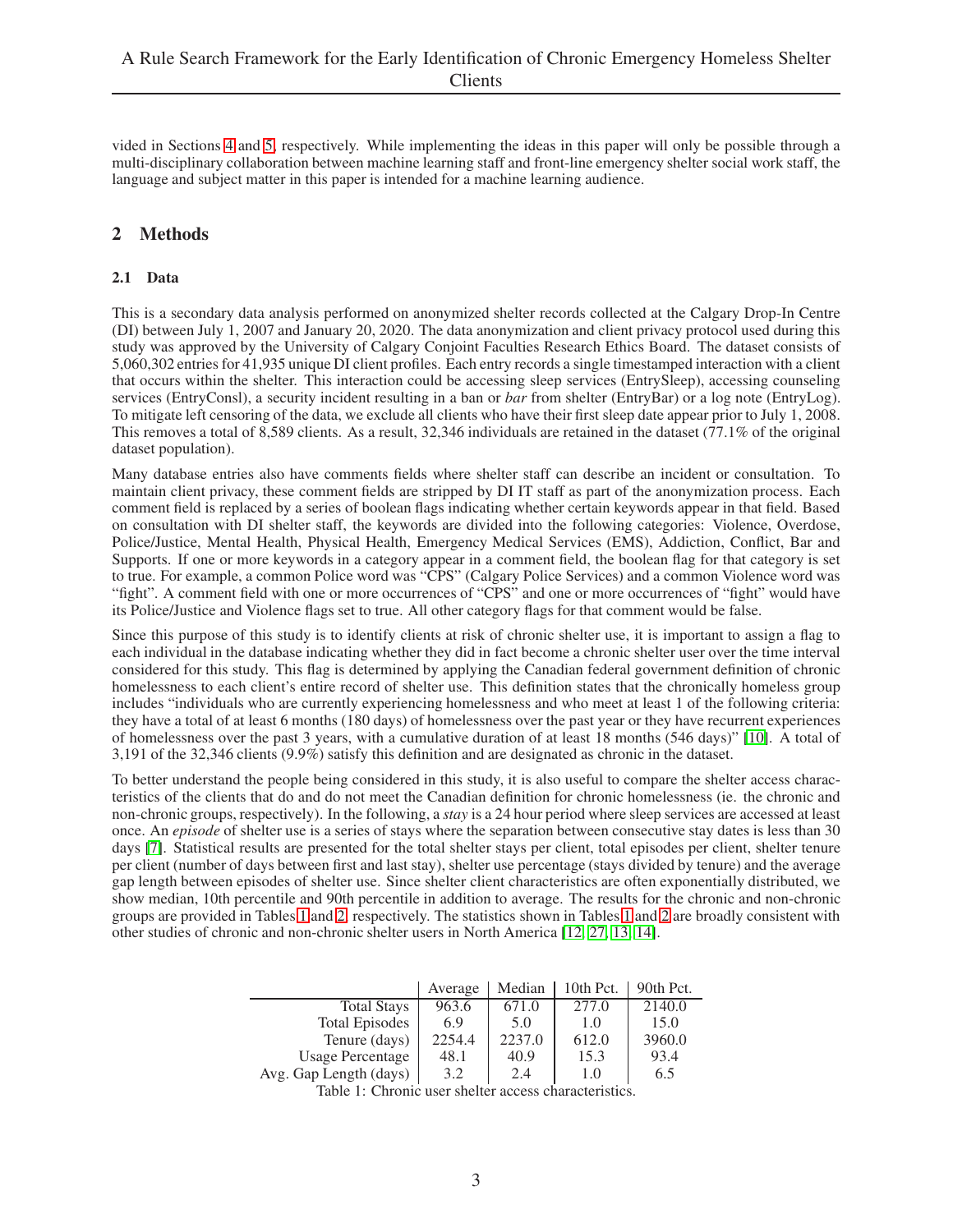vided in Sections [4](#page-6-0) and [5,](#page-7-0) respectively. While implementing the ideas in this paper will only be possible through a multi-disciplinary collaboration between machine learning staff and front-line emergency shelter social work staff, the language and subject matter in this paper is intended for a machine learning audience.

## <span id="page-2-2"></span><span id="page-2-0"></span>2 Methods

## 2.1 Data

This is a secondary data analysis performed on anonymized shelter records collected at the Calgary Drop-In Centre (DI) between July 1, 2007 and January 20, 2020. The data anonymization and client privacy protocol used during this study was approved by the University of Calgary Conjoint Faculties Research Ethics Board. The dataset consists of 5,060,302 entries for 41,935 unique DI client profiles. Each entry records a single timestamped interaction with a client that occurs within the shelter. This interaction could be accessing sleep services (EntrySleep), accessing counseling services (EntryConsl), a security incident resulting in a ban or *bar* from shelter (EntryBar) or a log note (EntryLog). To mitigate left censoring of the data, we exclude all clients who have their first sleep date appear prior to July 1, 2008. This removes a total of 8,589 clients. As a result, 32,346 individuals are retained in the dataset (77.1% of the original dataset population).

Many database entries also have comments fields where shelter staff can describe an incident or consultation. To maintain client privacy, these comment fields are stripped by DI IT staff as part of the anonymization process. Each comment field is replaced by a series of boolean flags indicating whether certain keywords appear in that field. Based on consultation with DI shelter staff, the keywords are divided into the following categories: Violence, Overdose, Police/Justice, Mental Health, Physical Health, Emergency Medical Services (EMS), Addiction, Conflict, Bar and Supports. If one or more keywords in a category appear in a comment field, the boolean flag for that category is set to true. For example, a common Police word was "CPS" (Calgary Police Services) and a common Violence word was "fight". A comment field with one or more occurrences of "CPS" and one or more occurrences of "fight" would have its Police/Justice and Violence flags set to true. All other category flags for that comment would be false.

Since this purpose of this study is to identify clients at risk of chronic shelter use, it is important to assign a flag to each individual in the database indicating whether they did in fact become a chronic shelter user over the time interval considered for this study. This flag is determined by applying the Canadian federal government definition of chronic homelessness to each client's entire record of shelter use. This definition states that the chronically homeless group includes "individuals who are currently experiencing homelessness and who meet at least 1 of the following criteria: they have a total of at least 6 months (180 days) of homelessness over the past year or they have recurrent experiences of homelessness over the past 3 years, with a cumulative duration of at least 18 months (546 days)" [\[10\]](#page-8-9). A total of 3,191 of the 32,346 clients (9.9%) satisfy this definition and are designated as chronic in the dataset.

To better understand the people being considered in this study, it is also useful to compare the shelter access characteristics of the clients that do and do not meet the Canadian definition for chronic homelessness (ie. the chronic and non-chronic groups, respectively). In the following, a *stay* is a 24 hour period where sleep services are accessed at least once. An *episode* of shelter use is a series of stays where the separation between consecutive stay dates is less than 30 days [\[7\]](#page-8-6). Statistical results are presented for the total shelter stays per client, total episodes per client, shelter tenure per client (number of days between first and last stay), shelter use percentage (stays divided by tenure) and the average gap length between episodes of shelter use. Since shelter client characteristics are often exponentially distributed, we show median, 10th percentile and 90th percentile in addition to average. The results for the chronic and non-chronic groups are provided in Tables [1](#page-2-1) and [2,](#page-3-0) respectively. The statistics shown in Tables [1](#page-2-1) and [2](#page-3-0) are broadly consistent with other studies of chronic and non-chronic shelter users in North America [\[12,](#page-8-11) [27,](#page-9-5) [13,](#page-8-12) [14\]](#page-8-13).

|                         | Average     | Median | 10th Pct. | 90th Pct. |
|-------------------------|-------------|--------|-----------|-----------|
| <b>Total Stays</b>      | 963.6       | 671.0  | 277.0     | 2140.0    |
| <b>Total Episodes</b>   | 6.9         | 5.0    | 1.0       | 15.0      |
| Tenure (days)           | 2254.4      | 2237.0 | 612.0     | 3960.0    |
| <b>Usage Percentage</b> | 48.1        | 40.9   | 15.3      | 93.4      |
| Avg. Gap Length (days)  | 3.2         | 2.4    | 1.0       | 6.5       |
| $T = 1111T$             | $1 \quad 1$ |        | .         |           |

<span id="page-2-1"></span>Table 1: Chronic user shelter access characteristics.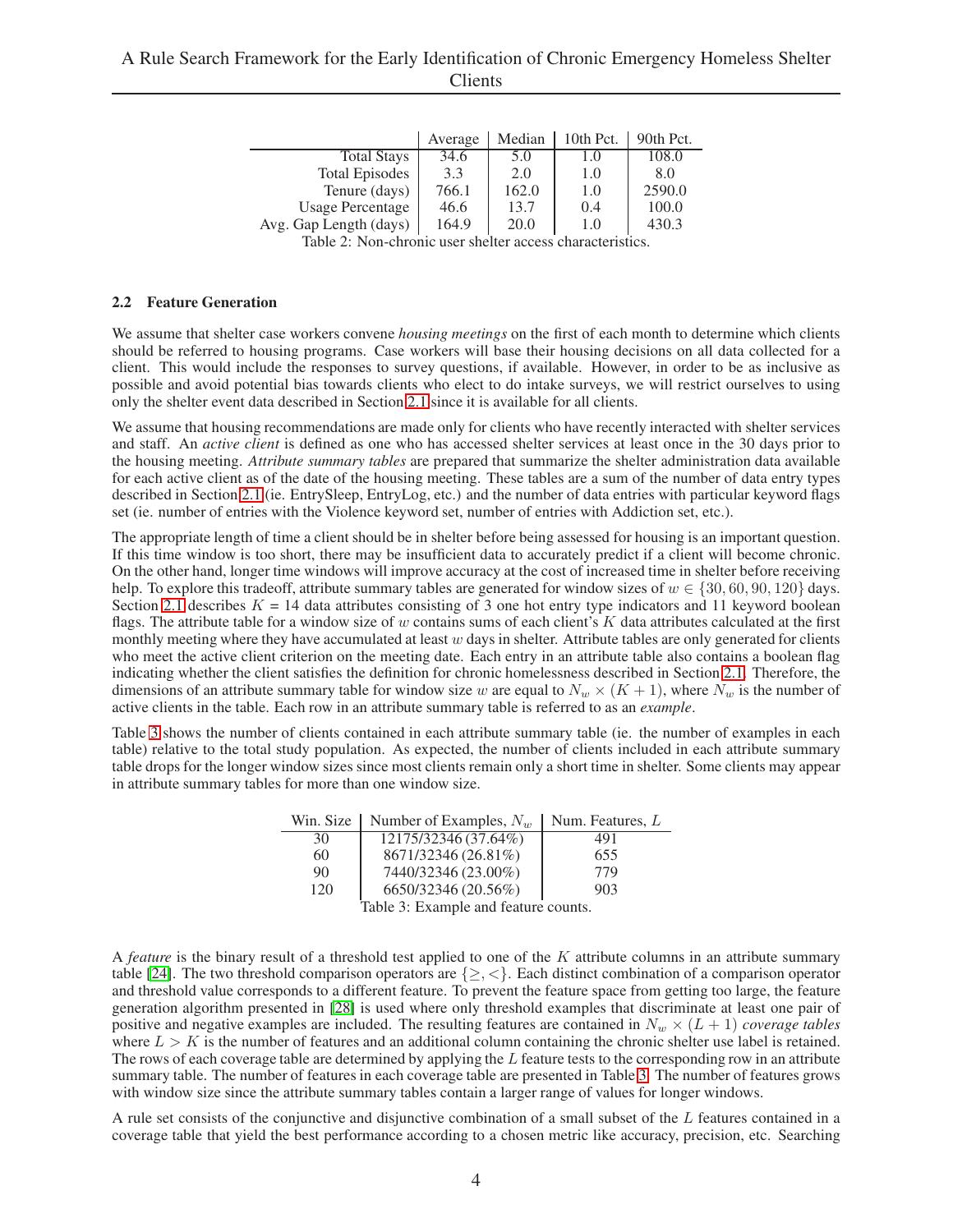|                         | Average | Median | 10th Pct. | 90th Pct. |
|-------------------------|---------|--------|-----------|-----------|
| <b>Total Stays</b>      | 34.6    | 5.0    | 1.0       | 108.0     |
| <b>Total Episodes</b>   | 3.3     | 2.0    | 1.0       | 8.0       |
| Tenure (days)           | 766.1   | 162.0  | 1.0       | 2590.0    |
| <b>Usage Percentage</b> | 46.6    | 13.7   | 0.4       | 100.0     |
| Avg. Gap Length (days)  | 164.9   | 20.0   | 1.0       | 430.3     |

<span id="page-3-0"></span>Table 2: Non-chronic user shelter access characteristics.

#### <span id="page-3-2"></span>2.2 Feature Generation

We assume that shelter case workers convene *housing meetings* on the first of each month to determine which clients should be referred to housing programs. Case workers will base their housing decisions on all data collected for a client. This would include the responses to survey questions, if available. However, in order to be as inclusive as possible and avoid potential bias towards clients who elect to do intake surveys, we will restrict ourselves to using only the shelter event data described in Section [2.1](#page-2-2) since it is available for all clients.

We assume that housing recommendations are made only for clients who have recently interacted with shelter services and staff. An *active client* is defined as one who has accessed shelter services at least once in the 30 days prior to the housing meeting. *Attribute summary tables* are prepared that summarize the shelter administration data available for each active client as of the date of the housing meeting. These tables are a sum of the number of data entry types described in Section [2.1](#page-2-2) (ie. EntrySleep, EntryLog, etc.) and the number of data entries with particular keyword flags set (ie. number of entries with the Violence keyword set, number of entries with Addiction set, etc.).

The appropriate length of time a client should be in shelter before being assessed for housing is an important question. If this time window is too short, there may be insufficient data to accurately predict if a client will become chronic. On the other hand, longer time windows will improve accuracy at the cost of increased time in shelter before receiving help. To explore this tradeoff, attribute summary tables are generated for window sizes of  $w \in \{30, 60, 90, 120\}$  days. Section [2.1](#page-2-2) describes  $K = 14$  data attributes consisting of 3 one hot entry type indicators and 11 keyword boolean flags. The attribute table for a window size of  $w$  contains sums of each client's  $K$  data attributes calculated at the first monthly meeting where they have accumulated at least  $w$  days in shelter. Attribute tables are only generated for clients who meet the active client criterion on the meeting date. Each entry in an attribute table also contains a boolean flag indicating whether the client satisfies the definition for chronic homelessness described in Section [2.1.](#page-2-2) Therefore, the dimensions of an attribute summary table for window size w are equal to  $N_w \times (K + 1)$ , where  $N_w$  is the number of active clients in the table. Each row in an attribute summary table is referred to as an *example*.

Table [3](#page-3-1) shows the number of clients contained in each attribute summary table (ie. the number of examples in each table) relative to the total study population. As expected, the number of clients included in each attribute summary table drops for the longer window sizes since most clients remain only a short time in shelter. Some clients may appear in attribute summary tables for more than one window size.

|     | Win. Size   Number of Examples, $N_w$   Num. Features, L |     |
|-----|----------------------------------------------------------|-----|
| 30  | 12175/32346 (37.64%)                                     | 491 |
| 60  | 8671/32346 (26.81%)                                      | 655 |
| 90  | 7440/32346 (23.00%)                                      | 779 |
| 120 | 6650/32346 (20.56%)                                      | 903 |
|     | Table 2. Example and facture counts                      |     |

<span id="page-3-1"></span>Table 3: Example and feature counts.

A *feature* is the binary result of a threshold test applied to one of the K attribute columns in an attribute summary table [\[24\]](#page-9-2). The two threshold comparison operators are  $\{\geq, <\}$ . Each distinct combination of a comparison operator and threshold value corresponds to a different feature. To prevent the feature space from getting too large, the feature generation algorithm presented in [\[28\]](#page-9-6) is used where only threshold examples that discriminate at least one pair of positive and negative examples are included. The resulting features are contained in  $N_w \times (L + 1)$  *coverage tables* where  $L > K$  is the number of features and an additional column containing the chronic shelter use label is retained. The rows of each coverage table are determined by applying the  $L$  feature tests to the corresponding row in an attribute summary table. The number of features in each coverage table are presented in Table [3.](#page-3-1) The number of features grows with window size since the attribute summary tables contain a larger range of values for longer windows.

A rule set consists of the conjunctive and disjunctive combination of a small subset of the L features contained in a coverage table that yield the best performance according to a chosen metric like accuracy, precision, etc. Searching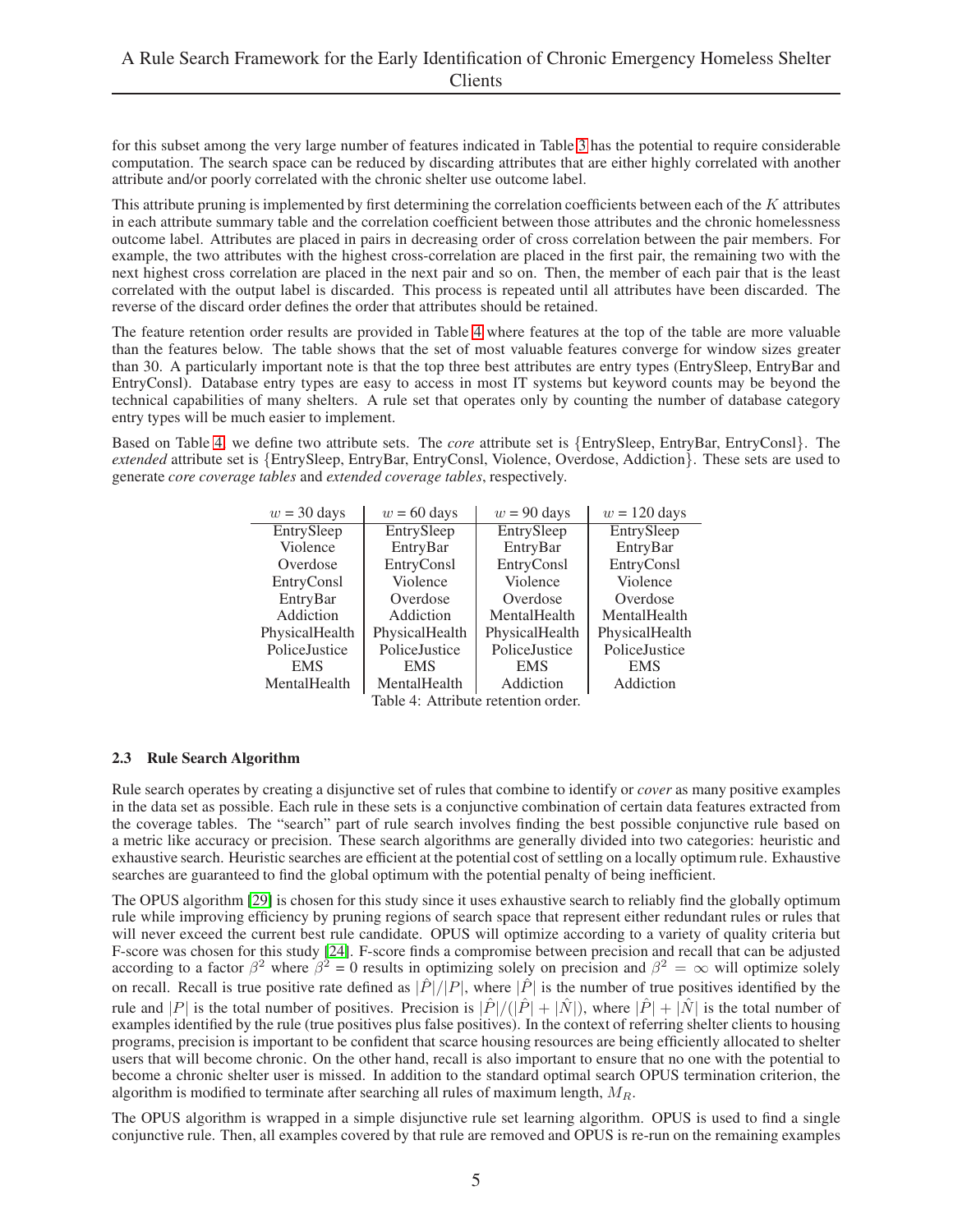for this subset among the very large number of features indicated in Table [3](#page-3-1) has the potential to require considerable computation. The search space can be reduced by discarding attributes that are either highly correlated with another attribute and/or poorly correlated with the chronic shelter use outcome label.

This attribute pruning is implemented by first determining the correlation coefficients between each of the  $K$  attributes in each attribute summary table and the correlation coefficient between those attributes and the chronic homelessness outcome label. Attributes are placed in pairs in decreasing order of cross correlation between the pair members. For example, the two attributes with the highest cross-correlation are placed in the first pair, the remaining two with the next highest cross correlation are placed in the next pair and so on. Then, the member of each pair that is the least correlated with the output label is discarded. This process is repeated until all attributes have been discarded. The reverse of the discard order defines the order that attributes should be retained.

The feature retention order results are provided in Table [4](#page-4-0) where features at the top of the table are more valuable than the features below. The table shows that the set of most valuable features converge for window sizes greater than 30. A particularly important note is that the top three best attributes are entry types (EntrySleep, EntryBar and EntryConsl). Database entry types are easy to access in most IT systems but keyword counts may be beyond the technical capabilities of many shelters. A rule set that operates only by counting the number of database category entry types will be much easier to implement.

Based on Table [4,](#page-4-0) we define two attribute sets. The *core* attribute set is {EntrySleep, EntryBar, EntryConsl}. The *extended* attribute set is {EntrySleep, EntryBar, EntryConsl, Violence, Overdose, Addiction}. These sets are used to generate *core coverage tables* and *extended coverage tables*, respectively.

| $w = 30$ days  | $w = 60$ days  | $w = 90$ days  | $w = 120$ days |
|----------------|----------------|----------------|----------------|
| EntrySleep     | EntrySleep     | EntrySleep     | EntrySleep     |
| Violence       | EntryBar       | EntryBar       | EntryBar       |
| Overdose       | EntryConsl     | EntryConsl     | EntryConsl     |
| EntryConsl     | Violence       | Violence       | Violence       |
| EntryBar       | Overdose       | Overdose       | Overdose       |
| Addiction      | Addiction      | MentalHealth   | MentalHealth   |
| PhysicalHealth | PhysicalHealth | PhysicalHealth | PhysicalHealth |
| PoliceJustice  | PoliceJustice  | PoliceJustice  | PoliceJustice  |
| <b>EMS</b>     | <b>EMS</b>     | <b>EMS</b>     | <b>EMS</b>     |
| MentalHealth   | MentalHealth   | Addiction      | Addiction      |
|                |                |                |                |

<span id="page-4-0"></span>Table 4: Attribute retention order.

#### <span id="page-4-1"></span>2.3 Rule Search Algorithm

Rule search operates by creating a disjunctive set of rules that combine to identify or *cover* as many positive examples in the data set as possible. Each rule in these sets is a conjunctive combination of certain data features extracted from the coverage tables. The "search" part of rule search involves finding the best possible conjunctive rule based on a metric like accuracy or precision. These search algorithms are generally divided into two categories: heuristic and exhaustive search. Heuristic searches are efficient at the potential cost of settling on a locally optimum rule. Exhaustive searches are guaranteed to find the global optimum with the potential penalty of being inefficient.

The OPUS algorithm [\[29\]](#page-9-7) is chosen for this study since it uses exhaustive search to reliably find the globally optimum rule while improving efficiency by pruning regions of search space that represent either redundant rules or rules that will never exceed the current best rule candidate. OPUS will optimize according to a variety of quality criteria but F-score was chosen for this study [\[24\]](#page-9-2). F-score finds a compromise between precision and recall that can be adjusted according to a factor  $\beta^2$  where  $\beta^2 = 0$  results in optimizing solely on precision and  $\beta^2 = \infty$  will optimize solely on recall. Recall is true positive rate defined as  $|\hat{P}|/|P|$ , where  $|\hat{P}|$  is the number of true positives identified by the rule and |P| is the total number of positives. Precision is  $|\hat{P}|/(|\hat{P}| + |\hat{N}|)$ , where  $|\hat{P}| + |\hat{N}|$  is the total number of examples identified by the rule (true positives plus false positives). In the context of referring shelter clients to housing programs, precision is important to be confident that scarce housing resources are being efficiently allocated to shelter users that will become chronic. On the other hand, recall is also important to ensure that no one with the potential to become a chronic shelter user is missed. In addition to the standard optimal search OPUS termination criterion, the algorithm is modified to terminate after searching all rules of maximum length,  $M_R$ .

The OPUS algorithm is wrapped in a simple disjunctive rule set learning algorithm. OPUS is used to find a single conjunctive rule. Then, all examples covered by that rule are removed and OPUS is re-run on the remaining examples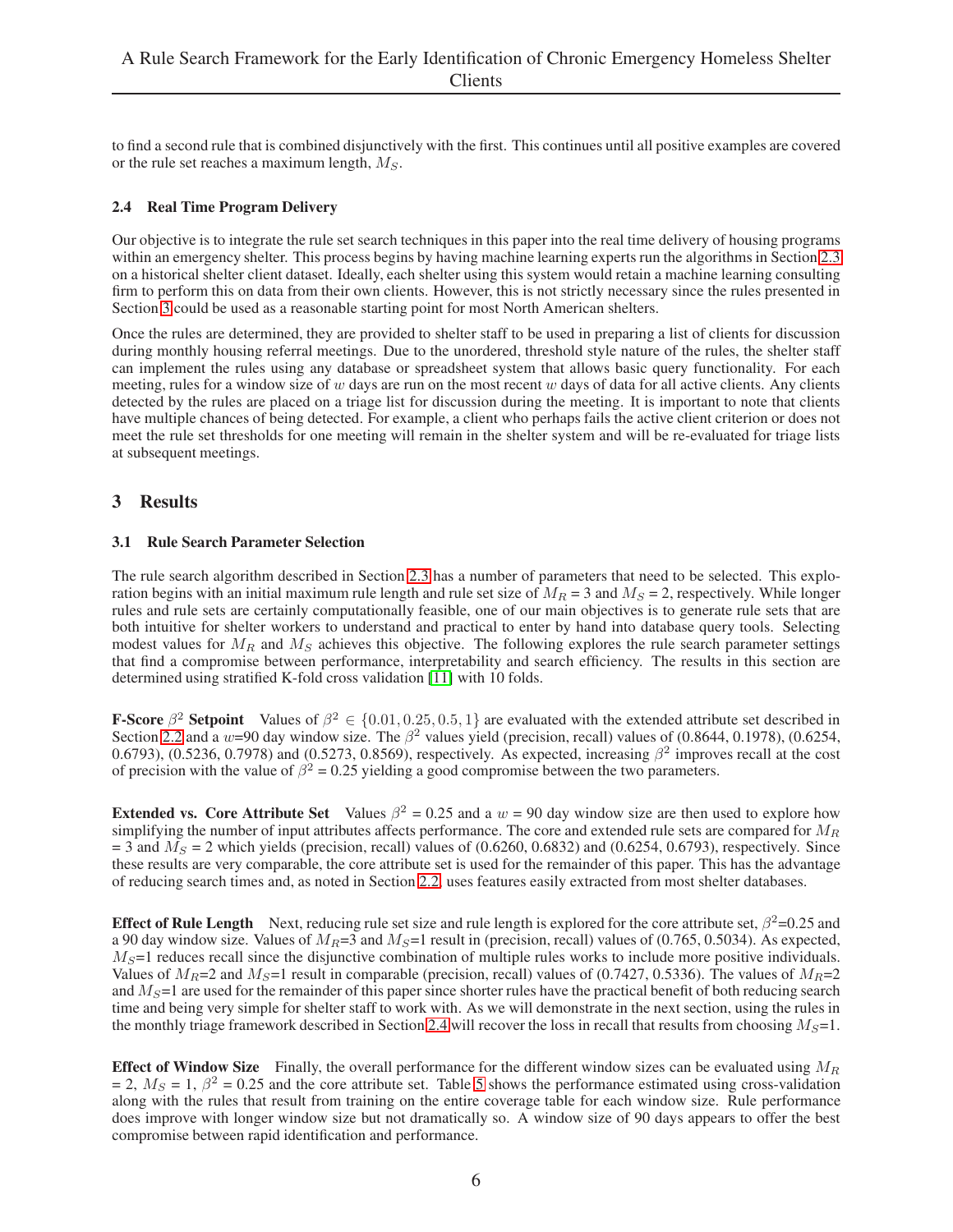to find a second rule that is combined disjunctively with the first. This continues until all positive examples are covered or the rule set reaches a maximum length,  $M<sub>S</sub>$ .

#### <span id="page-5-1"></span>2.4 Real Time Program Delivery

Our objective is to integrate the rule set search techniques in this paper into the real time delivery of housing programs within an emergency shelter. This process begins by having machine learning experts run the algorithms in Section [2.3](#page-4-1) on a historical shelter client dataset. Ideally, each shelter using this system would retain a machine learning consulting firm to perform this on data from their own clients. However, this is not strictly necessary since the rules presented in Section [3](#page-5-0) could be used as a reasonable starting point for most North American shelters.

Once the rules are determined, they are provided to shelter staff to be used in preparing a list of clients for discussion during monthly housing referral meetings. Due to the unordered, threshold style nature of the rules, the shelter staff can implement the rules using any database or spreadsheet system that allows basic query functionality. For each meeting, rules for a window size of w days are run on the most recent w days of data for all active clients. Any clients detected by the rules are placed on a triage list for discussion during the meeting. It is important to note that clients have multiple chances of being detected. For example, a client who perhaps fails the active client criterion or does not meet the rule set thresholds for one meeting will remain in the shelter system and will be re-evaluated for triage lists at subsequent meetings.

## <span id="page-5-2"></span><span id="page-5-0"></span>3 Results

#### 3.1 Rule Search Parameter Selection

The rule search algorithm described in Section [2.3](#page-4-1) has a number of parameters that need to be selected. This exploration begins with an initial maximum rule length and rule set size of  $M_R = 3$  and  $M_S = 2$ , respectively. While longer rules and rule sets are certainly computationally feasible, one of our main objectives is to generate rule sets that are both intuitive for shelter workers to understand and practical to enter by hand into database query tools. Selecting modest values for  $M_R$  and  $M_S$  achieves this objective. The following explores the rule search parameter settings that find a compromise between performance, interpretability and search efficiency. The results in this section are determined using stratified K-fold cross validation [\[11\]](#page-8-10) with 10 folds.

**F-Score**  $\beta^2$  **Setpoint** Values of  $\beta^2 \in \{0.01, 0.25, 0.5, 1\}$  are evaluated with the extended attribute set described in Section [2.2](#page-3-2) and a w=90 day window size. The  $\beta^2$  values yield (precision, recall) values of (0.8644, 0.1978), (0.6254, 0.6793), (0.5236, 0.7978) and (0.5273, 0.8569), respectively. As expected, increasing  $\beta^2$  improves recall at the cost of precision with the value of  $\beta^2 = 0.25$  yielding a good compromise between the two parameters.

**Extended vs. Core Attribute Set** Values  $\beta^2 = 0.25$  and a  $w = 90$  day window size are then used to explore how simplifying the number of input attributes affects performance. The core and extended rule sets are compared for  $M_R$  $=$  3 and  $M<sub>S</sub>$  = 2 which yields (precision, recall) values of (0.6260, 0.6832) and (0.6254, 0.6793), respectively. Since these results are very comparable, the core attribute set is used for the remainder of this paper. This has the advantage of reducing search times and, as noted in Section [2.2,](#page-3-2) uses features easily extracted from most shelter databases.

Effect of Rule Length Next, reducing rule set size and rule length is explored for the core attribute set,  $\beta^2$ =0.25 and a 90 day window size. Values of  $M_R$ =3 and  $M_S$ =1 result in (precision, recall) values of (0.765, 0.5034). As expected,  $M<sub>S</sub>=1$  reduces recall since the disjunctive combination of multiple rules works to include more positive individuals. Values of  $M_R$ =2 and  $M_S$ =1 result in comparable (precision, recall) values of (0.7427, 0.5336). The values of  $M_R$ =2 and  $M<sub>S</sub>=1$  are used for the remainder of this paper since shorter rules have the practical benefit of both reducing search time and being very simple for shelter staff to work with. As we will demonstrate in the next section, using the rules in the monthly triage framework described in Section [2.4](#page-5-1) will recover the loss in recall that results from choosing  $M_S=1$ .

**Effect of Window Size** Finally, the overall performance for the different window sizes can be evaluated using  $M_R$  $= 2$ ,  $M_s = 1$ ,  $\beta^2 = 0.25$  and the core attribute set. Table [5](#page-6-1) shows the performance estimated using cross-validation along with the rules that result from training on the entire coverage table for each window size. Rule performance does improve with longer window size but not dramatically so. A window size of 90 days appears to offer the best compromise between rapid identification and performance.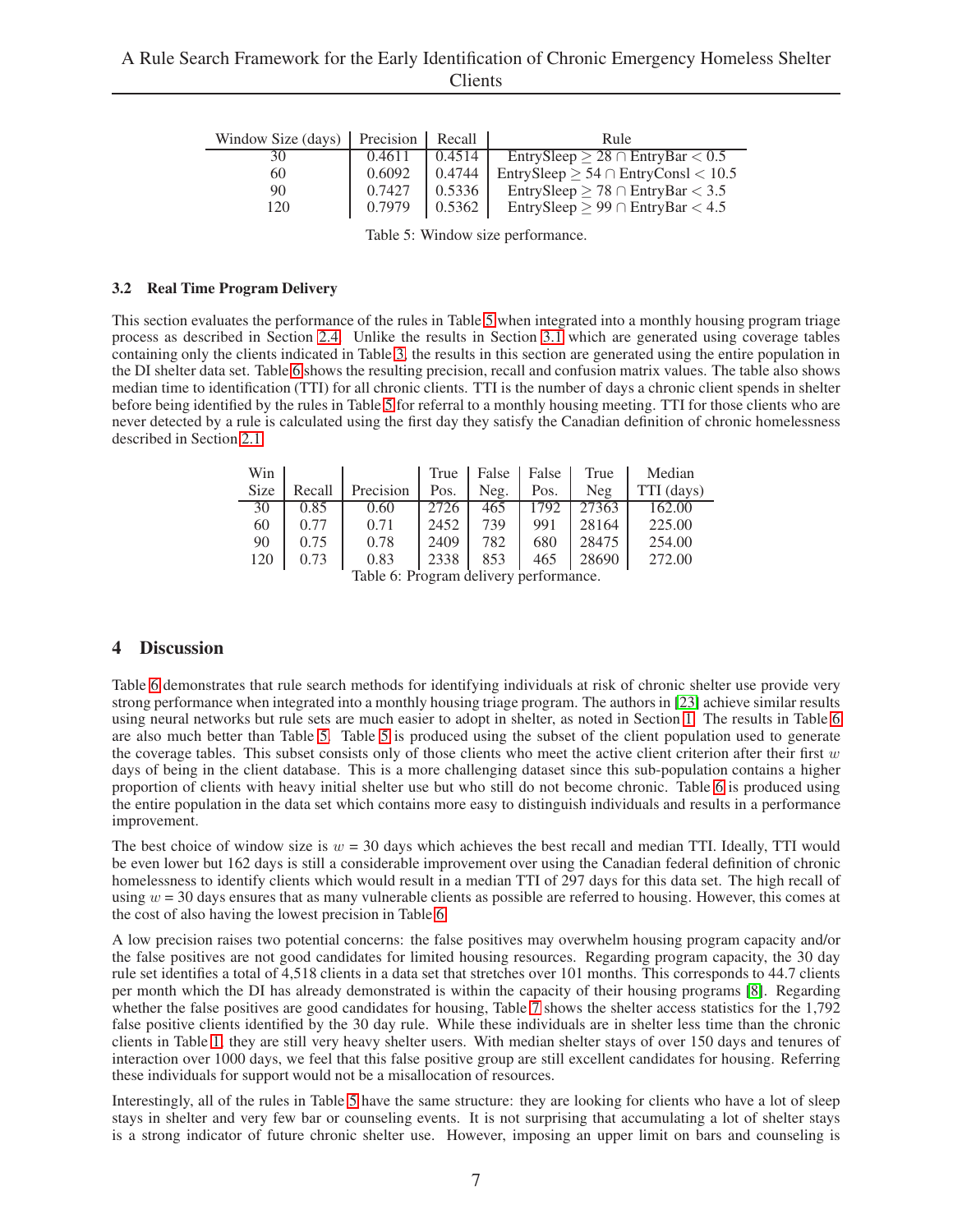| Window Size $\text{(days)}$ Precision |        | Recall | Rule                                          |
|---------------------------------------|--------|--------|-----------------------------------------------|
| 30                                    | 0.4611 | 0.4514 | EntrySleep $\geq 28 \cap$ EntryBar $\lt 0.5$  |
| 60                                    | 0.6092 | 0.4744 | EntrySleep $\geq 54 \cap$ EntryConsl $< 10.5$ |
| 90                                    | 0.7427 | 0.5336 | EntrySleep $\geq 78 \cap$ EntryBar $< 3.5$    |
| 120                                   | 0.7979 | 0.5362 | EntrySleep $\geq 99 \cap$ EntryBar < 4.5      |

<span id="page-6-1"></span>Table 5: Window size performance.

#### 3.2 Real Time Program Delivery

This section evaluates the performance of the rules in Table [5](#page-6-1) when integrated into a monthly housing program triage process as described in Section [2.4.](#page-5-1) Unlike the results in Section [3.1](#page-5-2) which are generated using coverage tables containing only the clients indicated in Table [3,](#page-3-1) the results in this section are generated using the entire population in the DI shelter data set. Table [6](#page-6-2) shows the resulting precision, recall and confusion matrix values. The table also shows median time to identification (TTI) for all chronic clients. TTI is the number of days a chronic client spends in shelter before being identified by the rules in Table [5](#page-6-1) for referral to a monthly housing meeting. TTI for those clients who are never detected by a rule is calculated using the first day they satisfy the Canadian definition of chronic homelessness described in Section [2.1.](#page-2-2)

| Win                                                                   |        |           | True | False | False | True  | Median     |
|-----------------------------------------------------------------------|--------|-----------|------|-------|-------|-------|------------|
| <b>Size</b>                                                           | Recall | Precision | Pos. | Neg.  | Pos.  | Neg   | TTI (days) |
| 30                                                                    | 0.85   | 0.60      | 2726 | 465   | 1792  | 27363 | 162.00     |
| 60                                                                    | 0.77   | 0.71      | 2452 | 739   | 991   | 28164 | 225.00     |
| 90                                                                    | 0.75   | 0.78      | 2409 | 782   | 680   | 28475 | 254.00     |
| 120                                                                   | 0.73   | 0.83      | 2338 | 853   | 465   | 28690 | 272.00     |
| $T_{\rm e}$ 1.1. $\ell$ . Due come deliveres a suframe and $\epsilon$ |        |           |      |       |       |       |            |

<span id="page-6-2"></span>Table 6: Program delivery performance.

#### <span id="page-6-0"></span>4 Discussion

Table [6](#page-6-2) demonstrates that rule search methods for identifying individuals at risk of chronic shelter use provide very strong performance when integrated into a monthly housing triage program. The authors in [\[23\]](#page-9-1) achieve similar results using neural networks but rule sets are much easier to adopt in shelter, as noted in Section [1.](#page-0-0) The results in Table [6](#page-6-2) are also much better than Table [5.](#page-6-1) Table [5](#page-6-1) is produced using the subset of the client population used to generate the coverage tables. This subset consists only of those clients who meet the active client criterion after their first  $w$ days of being in the client database. This is a more challenging dataset since this sub-population contains a higher proportion of clients with heavy initial shelter use but who still do not become chronic. Table [6](#page-6-2) is produced using the entire population in the data set which contains more easy to distinguish individuals and results in a performance improvement.

The best choice of window size is  $w = 30$  days which achieves the best recall and median TTI. Ideally, TTI would be even lower but 162 days is still a considerable improvement over using the Canadian federal definition of chronic homelessness to identify clients which would result in a median TTI of 297 days for this data set. The high recall of using  $w = 30$  days ensures that as many vulnerable clients as possible are referred to housing. However, this comes at the cost of also having the lowest precision in Table [6.](#page-6-2)

A low precision raises two potential concerns: the false positives may overwhelm housing program capacity and/or the false positives are not good candidates for limited housing resources. Regarding program capacity, the 30 day rule set identifies a total of 4,518 clients in a data set that stretches over 101 months. This corresponds to 44.7 clients per month which the DI has already demonstrated is within the capacity of their housing programs [\[8\]](#page-8-7). Regarding whether the false positives are good candidates for housing, Table [7](#page-7-1) shows the shelter access statistics for the 1,792 false positive clients identified by the 30 day rule. While these individuals are in shelter less time than the chronic clients in Table [1,](#page-2-1) they are still very heavy shelter users. With median shelter stays of over 150 days and tenures of interaction over 1000 days, we feel that this false positive group are still excellent candidates for housing. Referring these individuals for support would not be a misallocation of resources.

Interestingly, all of the rules in Table [5](#page-6-1) have the same structure: they are looking for clients who have a lot of sleep stays in shelter and very few bar or counseling events. It is not surprising that accumulating a lot of shelter stays is a strong indicator of future chronic shelter use. However, imposing an upper limit on bars and counseling is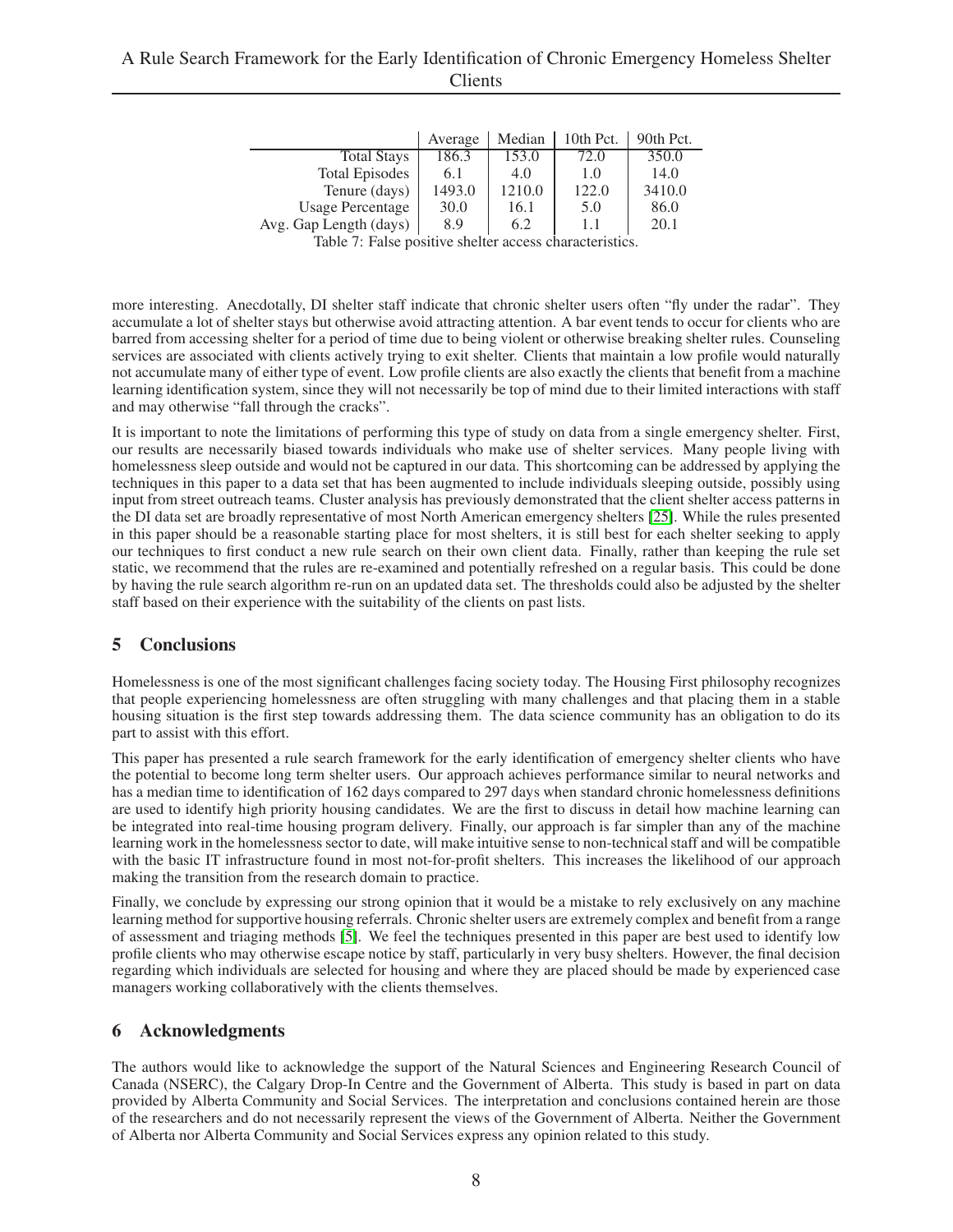## A Rule Search Framework for the Early Identification of Chronic Emergency Homeless Shelter Clients

|                         | Average | Median | 10th Pct. | 90th Pct. |
|-------------------------|---------|--------|-----------|-----------|
| <b>Total Stays</b>      | 186.3   | 153.0  | 72.0      | 350.0     |
| <b>Total Episodes</b>   | 6.1     | 4.0    | 1.0       | 14.0      |
| Tenure (days)           | 1493.0  | 1210.0 | 122.0     | 3410.0    |
| <b>Usage Percentage</b> | 30.0    | 16.1   | 5.0       | 86.0      |
| Avg. Gap Length (days)  | 8.9     | 6.2    | 11        | 20.1      |

<span id="page-7-1"></span>Table 7: False positive shelter access characteristics.

more interesting. Anecdotally, DI shelter staff indicate that chronic shelter users often "fly under the radar". They accumulate a lot of shelter stays but otherwise avoid attracting attention. A bar event tends to occur for clients who are barred from accessing shelter for a period of time due to being violent or otherwise breaking shelter rules. Counseling services are associated with clients actively trying to exit shelter. Clients that maintain a low profile would naturally not accumulate many of either type of event. Low profile clients are also exactly the clients that benefit from a machine learning identification system, since they will not necessarily be top of mind due to their limited interactions with staff and may otherwise "fall through the cracks".

It is important to note the limitations of performing this type of study on data from a single emergency shelter. First, our results are necessarily biased towards individuals who make use of shelter services. Many people living with homelessness sleep outside and would not be captured in our data. This shortcoming can be addressed by applying the techniques in this paper to a data set that has been augmented to include individuals sleeping outside, possibly using input from street outreach teams. Cluster analysis has previously demonstrated that the client shelter access patterns in the DI data set are broadly representative of most North American emergency shelters [\[25\]](#page-9-3). While the rules presented in this paper should be a reasonable starting place for most shelters, it is still best for each shelter seeking to apply our techniques to first conduct a new rule search on their own client data. Finally, rather than keeping the rule set static, we recommend that the rules are re-examined and potentially refreshed on a regular basis. This could be done by having the rule search algorithm re-run on an updated data set. The thresholds could also be adjusted by the shelter staff based on their experience with the suitability of the clients on past lists.

## <span id="page-7-0"></span>5 Conclusions

Homelessness is one of the most significant challenges facing society today. The Housing First philosophy recognizes that people experiencing homelessness are often struggling with many challenges and that placing them in a stable housing situation is the first step towards addressing them. The data science community has an obligation to do its part to assist with this effort.

This paper has presented a rule search framework for the early identification of emergency shelter clients who have the potential to become long term shelter users. Our approach achieves performance similar to neural networks and has a median time to identification of 162 days compared to 297 days when standard chronic homelessness definitions are used to identify high priority housing candidates. We are the first to discuss in detail how machine learning can be integrated into real-time housing program delivery. Finally, our approach is far simpler than any of the machine learning work in the homelessness sector to date, will make intuitive sense to non-technical staff and will be compatible with the basic IT infrastructure found in most not-for-profit shelters. This increases the likelihood of our approach making the transition from the research domain to practice.

Finally, we conclude by expressing our strong opinion that it would be a mistake to rely exclusively on any machine learning method for supportive housing referrals. Chronic shelter users are extremely complex and benefit from a range of assessment and triaging methods [\[5\]](#page-8-4). We feel the techniques presented in this paper are best used to identify low profile clients who may otherwise escape notice by staff, particularly in very busy shelters. However, the final decision regarding which individuals are selected for housing and where they are placed should be made by experienced case managers working collaboratively with the clients themselves.

## 6 Acknowledgments

The authors would like to acknowledge the support of the Natural Sciences and Engineering Research Council of Canada (NSERC), the Calgary Drop-In Centre and the Government of Alberta. This study is based in part on data provided by Alberta Community and Social Services. The interpretation and conclusions contained herein are those of the researchers and do not necessarily represent the views of the Government of Alberta. Neither the Government of Alberta nor Alberta Community and Social Services express any opinion related to this study.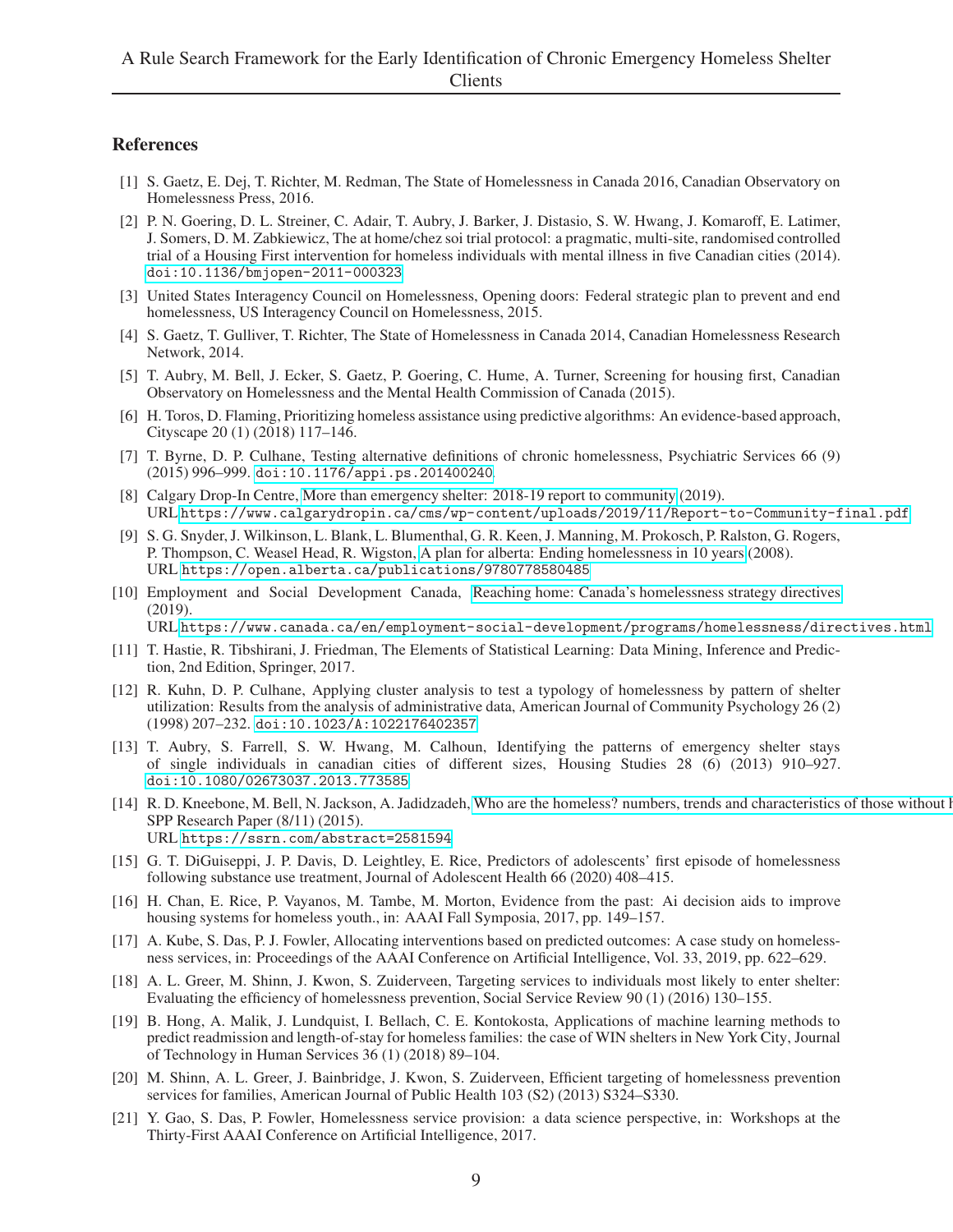## <span id="page-8-0"></span>References

- [1] S. Gaetz, E. Dej, T. Richter, M. Redman, The State of Homelessness in Canada 2016, Canadian Observatory on Homelessness Press, 2016.
- <span id="page-8-1"></span>[2] P. N. Goering, D. L. Streiner, C. Adair, T. Aubry, J. Barker, J. Distasio, S. W. Hwang, J. Komaroff, E. Latimer, J. Somers, D. M. Zabkiewicz, The at home/chez soi trial protocol: a pragmatic, multi-site, randomised controlled trial of a Housing First intervention for homeless individuals with mental illness in five Canadian cities (2014). [doi:10.1136/bmjopen-2011-000323](https://doi.org/10.1136/bmjopen-2011-000323).
- <span id="page-8-2"></span>[3] United States Interagency Council on Homelessness, Opening doors: Federal strategic plan to prevent and end homelessness, US Interagency Council on Homelessness, 2015.
- <span id="page-8-3"></span>[4] S. Gaetz, T. Gulliver, T. Richter, The State of Homelessness in Canada 2014, Canadian Homelessness Research Network, 2014.
- <span id="page-8-4"></span>[5] T. Aubry, M. Bell, J. Ecker, S. Gaetz, P. Goering, C. Hume, A. Turner, Screening for housing first, Canadian Observatory on Homelessness and the Mental Health Commission of Canada (2015).
- <span id="page-8-5"></span>[6] H. Toros, D. Flaming, Prioritizing homeless assistance using predictive algorithms: An evidence-based approach, Cityscape 20 (1) (2018) 117–146.
- <span id="page-8-6"></span>[7] T. Byrne, D. P. Culhane, Testing alternative definitions of chronic homelessness, Psychiatric Services 66 (9) (2015) 996–999. [doi:10.1176/appi.ps.201400240](https://doi.org/10.1176/appi.ps.201400240).
- <span id="page-8-7"></span>[8] Calgary Drop-In Centre, [More than emergency shelter: 2018-19 report to community](https://www.calgarydropin.ca/cms/wp-content/uploads/2019/11/ Report-to-Community-final.pdf) (2019). URL [https://www.calgarydropin.ca/cms/wp-content/uploads/2019/11/Report-to-Community-final.pdf](https://www.calgarydropin.ca/cms/wp-content/uploads/2019/11/ Report-to-Community-final.pdf)
- <span id="page-8-8"></span>[9] S. G. Snyder, J. Wilkinson, L. Blank, L. Blumenthal, G. R. Keen, J. Manning, M. Prokosch, P. Ralston, G. Rogers, P. Thompson, C. Weasel Head, R. Wigston, [A plan for alberta: Ending homelessness in 10 years](https://open.alberta.ca/publications/9780778580485) (2008). URL <https://open.alberta.ca/publications/9780778580485>
- <span id="page-8-9"></span>[10] Employment and Social Development Canada, [Reaching home: Canada's homelessness strategy directives](https://www.canada.ca/en/employment-social-development/programs/ homelessness/directives.html) (2019).

URL [https://www.canada.ca/en/employment-social-development/programs/homelessness/directives.html](https://www.canada.ca/en/employment-social-development/programs/ homelessness/directives.html)

- <span id="page-8-10"></span>[11] T. Hastie, R. Tibshirani, J. Friedman, The Elements of Statistical Learning: Data Mining, Inference and Prediction, 2nd Edition, Springer, 2017.
- <span id="page-8-11"></span>[12] R. Kuhn, D. P. Culhane, Applying cluster analysis to test a typology of homelessness by pattern of shelter utilization: Results from the analysis of administrative data, American Journal of Community Psychology 26 (2) (1998) 207–232. [doi:10.1023/A:1022176402357](https://doi.org/10.1023/A:1022176402357).
- <span id="page-8-12"></span>[13] T. Aubry, S. Farrell, S. W. Hwang, M. Calhoun, Identifying the patterns of emergency shelter stays of single individuals in canadian cities of different sizes, Housing Studies 28 (6) (2013) 910–927. [doi:10.1080/02673037.2013.773585](https://doi.org/10.1080/02673037.2013.773585).
- <span id="page-8-13"></span>[14] R. D. Kneebone, M. Bell, N. Jackson, A. Jadidzadeh, Who are the homeless? numbers, trends and characteristics of those without homes in calcaracteristics of those without homes in calcaracteristics of those without ho SPP Research Paper (8/11) (2015). URL <https://ssrn.com/abstract=2581594>
- <span id="page-8-14"></span>[15] G. T. DiGuiseppi, J. P. Davis, D. Leightley, E. Rice, Predictors of adolescents' first episode of homelessness following substance use treatment, Journal of Adolescent Health 66 (2020) 408–415.
- <span id="page-8-15"></span>[16] H. Chan, E. Rice, P. Vayanos, M. Tambe, M. Morton, Evidence from the past: Ai decision aids to improve housing systems for homeless youth., in: AAAI Fall Symposia, 2017, pp. 149–157.
- <span id="page-8-16"></span>[17] A. Kube, S. Das, P. J. Fowler, Allocating interventions based on predicted outcomes: A case study on homelessness services, in: Proceedings of the AAAI Conference on Artificial Intelligence, Vol. 33, 2019, pp. 622–629.
- <span id="page-8-17"></span>[18] A. L. Greer, M. Shinn, J. Kwon, S. Zuiderveen, Targeting services to individuals most likely to enter shelter: Evaluating the efficiency of homelessness prevention, Social Service Review 90 (1) (2016) 130–155.
- <span id="page-8-18"></span>[19] B. Hong, A. Malik, J. Lundquist, I. Bellach, C. E. Kontokosta, Applications of machine learning methods to predict readmission and length-of-stay for homeless families: the case of WIN shelters in New York City, Journal of Technology in Human Services 36 (1) (2018) 89–104.
- <span id="page-8-19"></span>[20] M. Shinn, A. L. Greer, J. Bainbridge, J. Kwon, S. Zuiderveen, Efficient targeting of homelessness prevention services for families, American Journal of Public Health 103 (S2) (2013) S324–S330.
- <span id="page-8-20"></span>[21] Y. Gao, S. Das, P. Fowler, Homelessness service provision: a data science perspective, in: Workshops at the Thirty-First AAAI Conference on Artificial Intelligence, 2017.